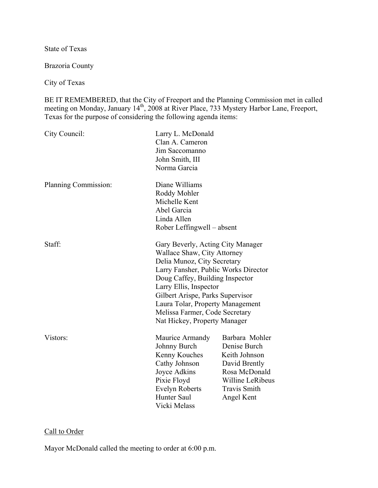State of Texas

Brazoria County

City of Texas

BE IT REMEMBERED, that the City of Freeport and the Planning Commission met in called meeting on Monday, January 14<sup>th</sup>, 2008 at River Place, 733 Mystery Harbor Lane, Freeport, Texas for the purpose of considering the following agenda items:

| City Council:        | Larry L. McDonald<br>Clan A. Cameron<br>Jim Saccomanno<br>John Smith, III<br>Norma Garcia                                                                |                                                                                                                                                                                                                                                                                                                                                |  |
|----------------------|----------------------------------------------------------------------------------------------------------------------------------------------------------|------------------------------------------------------------------------------------------------------------------------------------------------------------------------------------------------------------------------------------------------------------------------------------------------------------------------------------------------|--|
| Planning Commission: | Diane Williams<br>Roddy Mohler<br>Michelle Kent<br>Abel Garcia<br>Linda Allen<br>Rober Leffingwell – absent                                              |                                                                                                                                                                                                                                                                                                                                                |  |
| Staff:               |                                                                                                                                                          | Gary Beverly, Acting City Manager<br>Wallace Shaw, City Attorney<br>Delia Munoz, City Secretary<br>Larry Fansher, Public Works Director<br>Doug Caffey, Building Inspector<br>Larry Ellis, Inspector<br>Gilbert Arispe, Parks Supervisor<br>Laura Tolar, Property Management<br>Melissa Farmer, Code Secretary<br>Nat Hickey, Property Manager |  |
| Vistors:             | Maurice Armandy<br>Johnny Burch<br>Kenny Kouches<br>Cathy Johnson<br>Joyce Adkins<br>Pixie Floyd<br><b>Evelyn Roberts</b><br>Hunter Saul<br>Vicki Melass | Barbara Mohler<br>Denise Burch<br>Keith Johnson<br>David Brently<br>Rosa McDonald<br>Willine LeRibeus<br><b>Travis Smith</b><br>Angel Kent                                                                                                                                                                                                     |  |

# Call to Order

Mayor McDonald called the meeting to order at 6:00 p.m.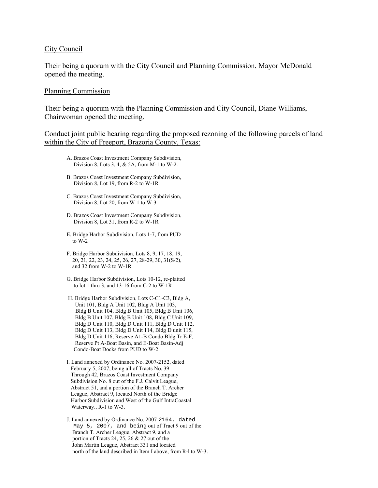#### City Council

Their being a quorum with the City Council and Planning Commission, Mayor McDonald opened the meeting.

#### Planning Commission

Their being a quorum with the Planning Commission and City Council, Diane Williams, Chairwoman opened the meeting.

### Conduct joint public hearing regarding the proposed rezoning of the following parcels of land within the City of Freeport, Brazoria County, Texas:

- A. Brazos Coast Investment Company Subdivision, Division 8, Lots 3, 4, & 5A, from M-1 to W-2.
- B. Brazos Coast Investment Company Subdivision, Division 8, Lot 19, from R-2 to W-1R
- C. Brazos Coast Investment Company Subdivision, Division 8, Lot 20, from W-1 to W-3
- D. Brazos Coast Investment Company Subdivision, Division 8, Lot 31, from R-2 to W-1R
- E. Bridge Harbor Subdivision, Lots 1-7, from PUD to W-2
- F. Bridge Harbor Subdivision, Lots 8, 9, 17, 18, 19, 20, 21, 22, 23, 24, 25, 26, 27, 28-29, 30, 31(S/2), and 32 from W-2 to W-1R
- G. Bridge Harbor Subdivision, Lots 10-12, re-platted to lot 1 thru 3, and 13-16 from C-2 to W-1R
- H. Bridge Harbor Subdivision, Lots C-C1-C3, Bldg A, Unit 101, Bldg A Unit 102, Bldg A Unit 103, Bldg B Unit 104, Bldg B Unit 105, Bldg B Unit 106, Bldg B Unit 107, Bldg B Unit 108, Bldg C Unit 109, Bldg D Unit 110, Bldg D Unit 111, Bldg D Unit 112, Bldg D Unit 113, Bldg D Unit 114, Bldg D unit 115, Bldg D Unit 116, Reserve A1-B Condo Bldg Tr E-F, Reserve Pt A-Boat Basin, and E-Boat Basin-Adj Condo-Boat Docks from PUD to W-2
- I. Land annexed by Ordinance No. 2007-2152, dated February 5, 2007, being all of Tracts No. 39 Through 42, Brazos Coast Investment Company Subdivision No. 8 out of the F.J. Calvit League, Abstract 51, and a portion of the Branch T. Archer League, Abstract 9, located North of the Bridge Harbor Subdivision and West of the Gulf IntraCoastal Waterway., R-1 to W-3.
- J. Land annexed by Ordinance No. 2007-2164, dated May 5, 2007, and being out of Tract 9 out of the Branch T. Archer League, Abstract 9, and a portion of Tracts 24, 25, 26  $& 27$  out of the John Martin League, Abstract 331 and located north of the land described in Item I above, from R-l to W-3.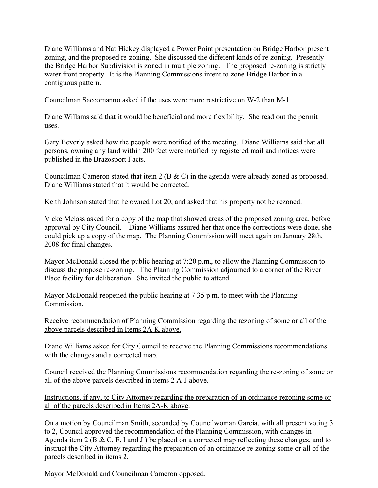Diane Williams and Nat Hickey displayed a Power Point presentation on Bridge Harbor present zoning, and the proposed re-zoning. She discussed the different kinds of re-zoning. Presently the Bridge Harbor Subdivision is zoned in multiple zoning. The proposed re-zoning is strictly water front property. It is the Planning Commissions intent to zone Bridge Harbor in a contiguous pattern.

Councilman Saccomanno asked if the uses were more restrictive on W-2 than M-1.

Diane Willams said that it would be beneficial and more flexibility. She read out the permit uses.

Gary Beverly asked how the people were notified of the meeting. Diane Williams said that all persons, owning any land within 200 feet were notified by registered mail and notices were published in the Brazosport Facts.

Councilman Cameron stated that item 2 (B & C) in the agenda were already zoned as proposed. Diane Williams stated that it would be corrected.

Keith Johnson stated that he owned Lot 20, and asked that his property not be rezoned.

Vicke Melass asked for a copy of the map that showed areas of the proposed zoning area, before approval by City Council. Diane Williams assured her that once the corrections were done, she could pick up a copy of the map. The Planning Commission will meet again on January 28th, 2008 for final changes.

Mayor McDonald closed the public hearing at 7:20 p.m., to allow the Planning Commission to discuss the propose re-zoning. The Planning Commission adjourned to a corner of the River Place facility for deliberation. She invited the public to attend.

Mayor McDonald reopened the public hearing at 7:35 p.m. to meet with the Planning Commission.

Receive recommendation of Planning Commission regarding the rezoning of some or all of the above parcels described in Items 2A-K above.

Diane Williams asked for City Council to receive the Planning Commissions recommendations with the changes and a corrected map.

Council received the Planning Commissions recommendation regarding the re-zoning of some or all of the above parcels described in items 2 A-J above.

Instructions, if any, to City Attorney regarding the preparation of an ordinance rezoning some or all of the parcels described in Items 2A-K above.

On a motion by Councilman Smith, seconded by Councilwoman Garcia, with all present voting 3 to 2, Council approved the recommendation of the Planning Commission, with changes in Agenda item 2 (B & C, F, I and J ) be placed on a corrected map reflecting these changes, and to instruct the City Attorney regarding the preparation of an ordinance re-zoning some or all of the parcels described in items 2.

Mayor McDonald and Councilman Cameron opposed.